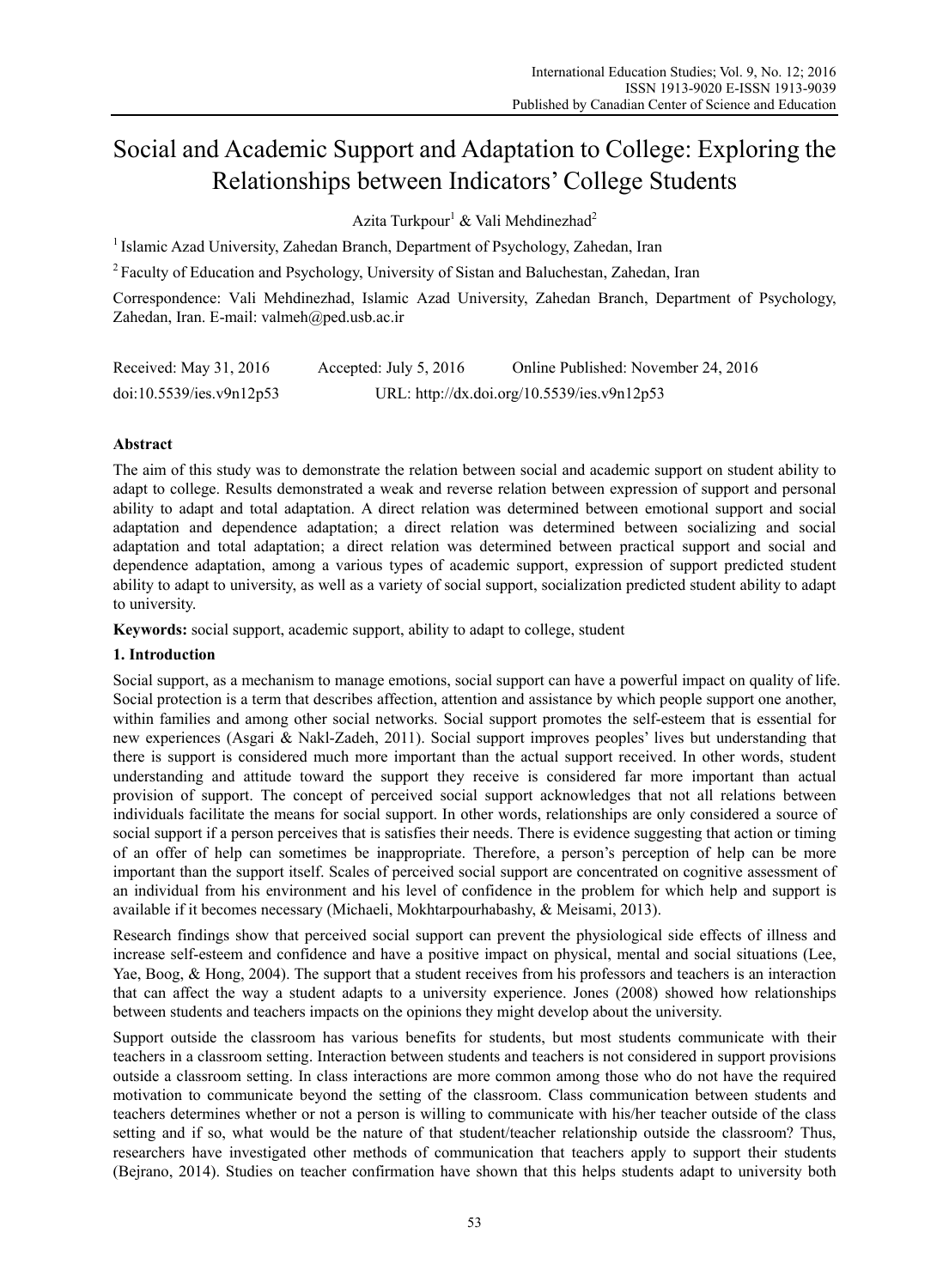# Social and Academic Support and Adaptation to College: Exploring the Relationships between Indicators' College Students

Azita Turkpour<sup>1</sup> & Vali Mehdinezhad<sup>2</sup>

<sup>1</sup> Islamic Azad University, Zahedan Branch, Department of Psychology, Zahedan, Iran

2 Faculty of Education and Psychology, University of Sistan and Baluchestan, Zahedan, Iran

Correspondence: Vali Mehdinezhad, Islamic Azad University, Zahedan Branch, Department of Psychology, Zahedan, Iran. E-mail: valmeh@ped.usb.ac.ir

| Received: May 31, 2016   | Accepted: July 5, 2016 | Online Published: November 24, 2016         |
|--------------------------|------------------------|---------------------------------------------|
| doi:10.5539/ies.v9n12p53 |                        | URL: http://dx.doi.org/10.5539/ies.v9n12p53 |

## **Abstract**

The aim of this study was to demonstrate the relation between social and academic support on student ability to adapt to college. Results demonstrated a weak and reverse relation between expression of support and personal ability to adapt and total adaptation. A direct relation was determined between emotional support and social adaptation and dependence adaptation; a direct relation was determined between socializing and social adaptation and total adaptation; a direct relation was determined between practical support and social and dependence adaptation, among a various types of academic support, expression of support predicted student ability to adapt to university, as well as a variety of social support, socialization predicted student ability to adapt to university.

**Keywords:** social support, academic support, ability to adapt to college, student

#### **1. Introduction**

Social support, as a mechanism to manage emotions, social support can have a powerful impact on quality of life. Social protection is a term that describes affection, attention and assistance by which people support one another, within families and among other social networks. Social support promotes the self-esteem that is essential for new experiences (Asgari & Nakl-Zadeh, 2011). Social support improves peoples' lives but understanding that there is support is considered much more important than the actual support received. In other words, student understanding and attitude toward the support they receive is considered far more important than actual provision of support. The concept of perceived social support acknowledges that not all relations between individuals facilitate the means for social support. In other words, relationships are only considered a source of social support if a person perceives that is satisfies their needs. There is evidence suggesting that action or timing of an offer of help can sometimes be inappropriate. Therefore, a person's perception of help can be more important than the support itself. Scales of perceived social support are concentrated on cognitive assessment of an individual from his environment and his level of confidence in the problem for which help and support is available if it becomes necessary (Michaeli, Mokhtarpourhabashy, & Meisami, 2013).

Research findings show that perceived social support can prevent the physiological side effects of illness and increase self-esteem and confidence and have a positive impact on physical, mental and social situations (Lee, Yae, Boog, & Hong, 2004). The support that a student receives from his professors and teachers is an interaction that can affect the way a student adapts to a university experience. Jones (2008) showed how relationships between students and teachers impacts on the opinions they might develop about the university.

Support outside the classroom has various benefits for students, but most students communicate with their teachers in a classroom setting. Interaction between students and teachers is not considered in support provisions outside a classroom setting. In class interactions are more common among those who do not have the required motivation to communicate beyond the setting of the classroom. Class communication between students and teachers determines whether or not a person is willing to communicate with his/her teacher outside of the class setting and if so, what would be the nature of that student/teacher relationship outside the classroom? Thus, researchers have investigated other methods of communication that teachers apply to support their students (Bejrano, 2014). Studies on teacher confirmation have shown that this helps students adapt to university both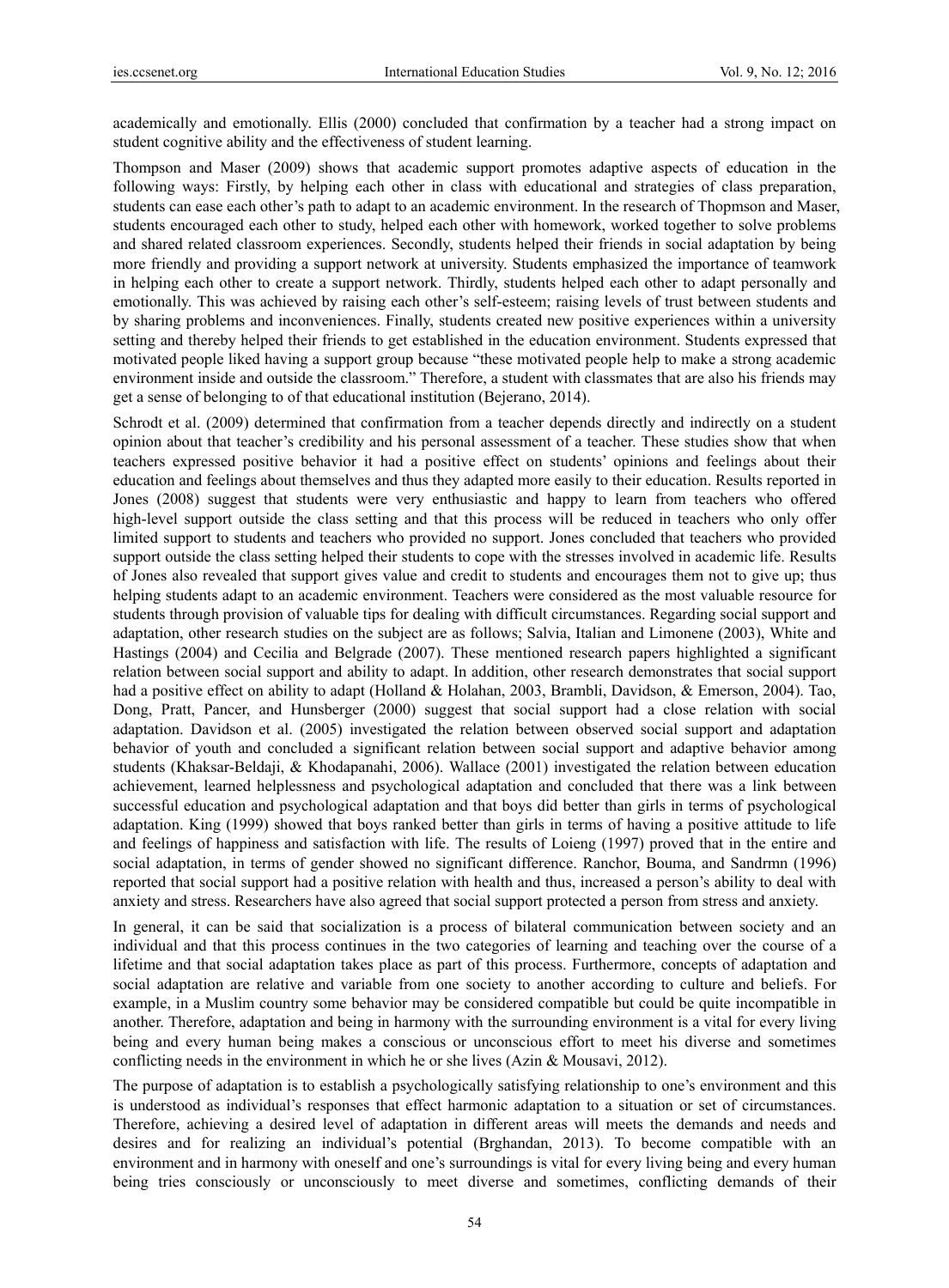academically and emotionally. Ellis (2000) concluded that confirmation by a teacher had a strong impact on student cognitive ability and the effectiveness of student learning.

Thompson and Maser (2009) shows that academic support promotes adaptive aspects of education in the following ways: Firstly, by helping each other in class with educational and strategies of class preparation, students can ease each other's path to adapt to an academic environment. In the research of Thopmson and Maser, students encouraged each other to study, helped each other with homework, worked together to solve problems and shared related classroom experiences. Secondly, students helped their friends in social adaptation by being more friendly and providing a support network at university. Students emphasized the importance of teamwork in helping each other to create a support network. Thirdly, students helped each other to adapt personally and emotionally. This was achieved by raising each other's self-esteem; raising levels of trust between students and by sharing problems and inconveniences. Finally, students created new positive experiences within a university setting and thereby helped their friends to get established in the education environment. Students expressed that motivated people liked having a support group because "these motivated people help to make a strong academic environment inside and outside the classroom." Therefore, a student with classmates that are also his friends may get a sense of belonging to of that educational institution (Bejerano, 2014).

Schrodt et al. (2009) determined that confirmation from a teacher depends directly and indirectly on a student opinion about that teacher's credibility and his personal assessment of a teacher. These studies show that when teachers expressed positive behavior it had a positive effect on students' opinions and feelings about their education and feelings about themselves and thus they adapted more easily to their education. Results reported in Jones (2008) suggest that students were very enthusiastic and happy to learn from teachers who offered high-level support outside the class setting and that this process will be reduced in teachers who only offer limited support to students and teachers who provided no support. Jones concluded that teachers who provided support outside the class setting helped their students to cope with the stresses involved in academic life. Results of Jones also revealed that support gives value and credit to students and encourages them not to give up; thus helping students adapt to an academic environment. Teachers were considered as the most valuable resource for students through provision of valuable tips for dealing with difficult circumstances. Regarding social support and adaptation, other research studies on the subject are as follows; Salvia, Italian and Limonene (2003), White and Hastings (2004) and Cecilia and Belgrade (2007). These mentioned research papers highlighted a significant relation between social support and ability to adapt. In addition, other research demonstrates that social support had a positive effect on ability to adapt (Holland & Holahan, 2003, Brambli, Davidson, & Emerson, 2004). Tao, Dong, Pratt, Pancer, and Hunsberger (2000) suggest that social support had a close relation with social adaptation. Davidson et al. (2005) investigated the relation between observed social support and adaptation behavior of youth and concluded a significant relation between social support and adaptive behavior among students (Khaksar-Beldaji, & Khodapanahi, 2006). Wallace (2001) investigated the relation between education achievement, learned helplessness and psychological adaptation and concluded that there was a link between successful education and psychological adaptation and that boys did better than girls in terms of psychological adaptation. King (1999) showed that boys ranked better than girls in terms of having a positive attitude to life and feelings of happiness and satisfaction with life. The results of Loieng (1997) proved that in the entire and social adaptation, in terms of gender showed no significant difference. Ranchor, Bouma, and Sandrmn (1996) reported that social support had a positive relation with health and thus, increased a person's ability to deal with anxiety and stress. Researchers have also agreed that social support protected a person from stress and anxiety.

In general, it can be said that socialization is a process of bilateral communication between society and an individual and that this process continues in the two categories of learning and teaching over the course of a lifetime and that social adaptation takes place as part of this process. Furthermore, concepts of adaptation and social adaptation are relative and variable from one society to another according to culture and beliefs. For example, in a Muslim country some behavior may be considered compatible but could be quite incompatible in another. Therefore, adaptation and being in harmony with the surrounding environment is a vital for every living being and every human being makes a conscious or unconscious effort to meet his diverse and sometimes conflicting needs in the environment in which he or she lives (Azin & Mousavi, 2012).

The purpose of adaptation is to establish a psychologically satisfying relationship to one's environment and this is understood as individual's responses that effect harmonic adaptation to a situation or set of circumstances. Therefore, achieving a desired level of adaptation in different areas will meets the demands and needs and desires and for realizing an individual's potential (Brghandan, 2013). To become compatible with an environment and in harmony with oneself and one's surroundings is vital for every living being and every human being tries consciously or unconsciously to meet diverse and sometimes, conflicting demands of their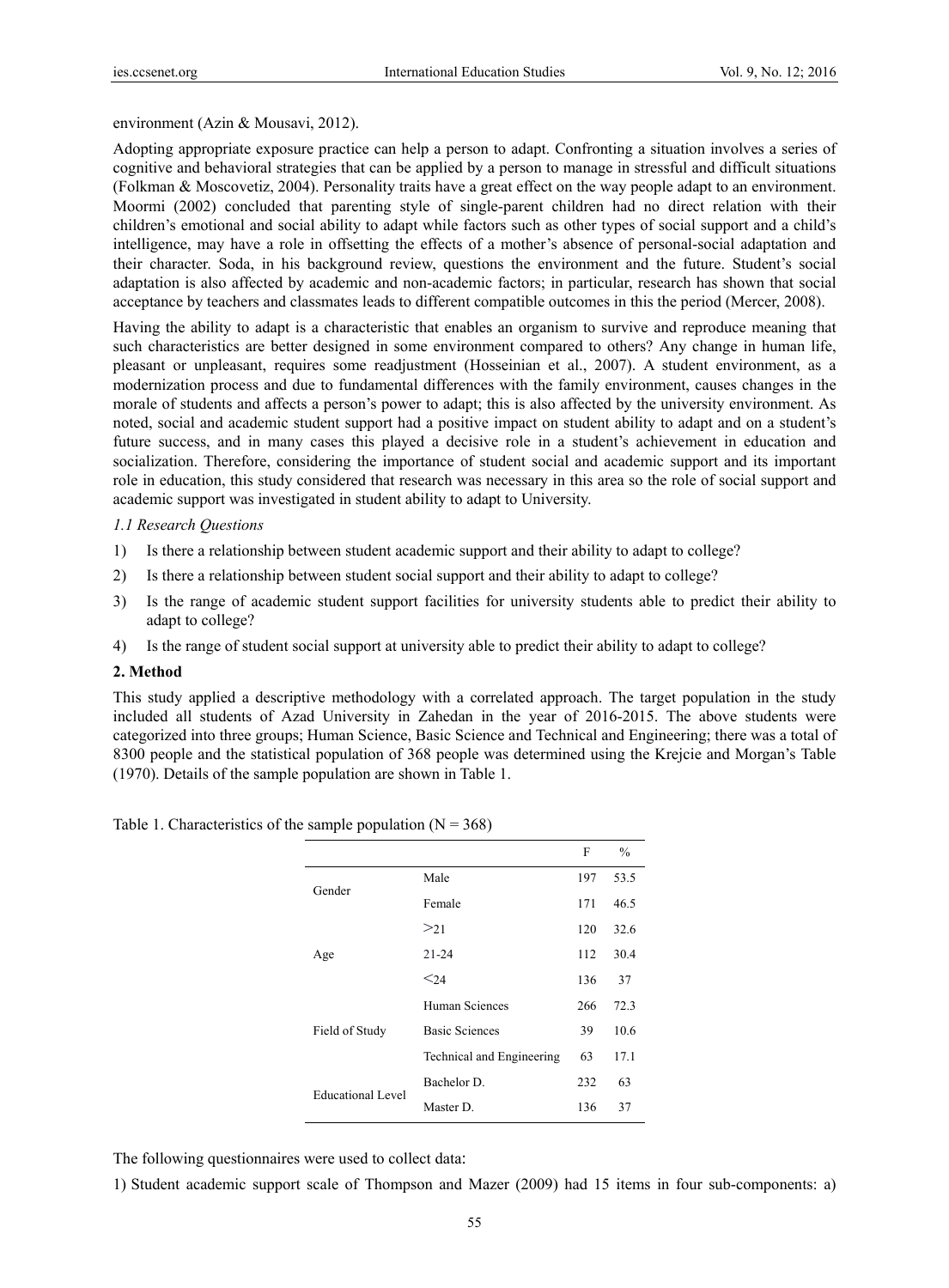### environment (Azin & Mousavi, 2012).

Adopting appropriate exposure practice can help a person to adapt. Confronting a situation involves a series of cognitive and behavioral strategies that can be applied by a person to manage in stressful and difficult situations (Folkman & Moscovetiz, 2004). Personality traits have a great effect on the way people adapt to an environment. Moormi (2002) concluded that parenting style of single-parent children had no direct relation with their children's emotional and social ability to adapt while factors such as other types of social support and a child's intelligence, may have a role in offsetting the effects of a mother's absence of personal-social adaptation and their character. Soda, in his background review, questions the environment and the future. Student's social adaptation is also affected by academic and non-academic factors; in particular, research has shown that social acceptance by teachers and classmates leads to different compatible outcomes in this the period (Mercer, 2008).

Having the ability to adapt is a characteristic that enables an organism to survive and reproduce meaning that such characteristics are better designed in some environment compared to others? Any change in human life, pleasant or unpleasant, requires some readjustment (Hosseinian et al., 2007). A student environment, as a modernization process and due to fundamental differences with the family environment, causes changes in the morale of students and affects a person's power to adapt; this is also affected by the university environment. As noted, social and academic student support had a positive impact on student ability to adapt and on a student's future success, and in many cases this played a decisive role in a student's achievement in education and socialization. Therefore, considering the importance of student social and academic support and its important role in education, this study considered that research was necessary in this area so the role of social support and academic support was investigated in student ability to adapt to University.

## *1.1 Research Questions*

- 1) Is there a relationship between student academic support and their ability to adapt to college?
- 2) Is there a relationship between student social support and their ability to adapt to college?
- 3) Is the range of academic student support facilities for university students able to predict their ability to adapt to college?
- 4) Is the range of student social support at university able to predict their ability to adapt to college?

#### **2. Method**

This study applied a descriptive methodology with a correlated approach. The target population in the study included all students of Azad University in Zahedan in the year of 2016-2015. The above students were categorized into three groups; Human Science, Basic Science and Technical and Engineering; there was a total of 8300 people and the statistical population of 368 people was determined using the Krejcie and Morgan's Table (1970). Details of the sample population are shown in Table 1.

|                   |                           | F   | $\frac{0}{0}$ |
|-------------------|---------------------------|-----|---------------|
| Gender            | Male                      | 197 | 53.5          |
|                   | Female                    | 171 | 46.5          |
|                   | $>_{21}$                  | 120 | 32.6          |
| Age               | $21 - 24$                 | 112 | 30.4          |
|                   | $\leq$ 24                 | 136 | 37            |
|                   | Human Sciences            | 266 | 72.3          |
| Field of Study    | <b>Basic Sciences</b>     | 39  | 10.6          |
|                   | Technical and Engineering | 63  | 17.1          |
| Educational Level | Bachelor D.               | 232 | 63            |
|                   | Master D.                 | 136 | 37            |

Table 1. Characteristics of the sample population  $(N = 368)$ 

The following questionnaires were used to collect data:

1) Student academic support scale of Thompson and Mazer (2009) had 15 items in four sub-components: a)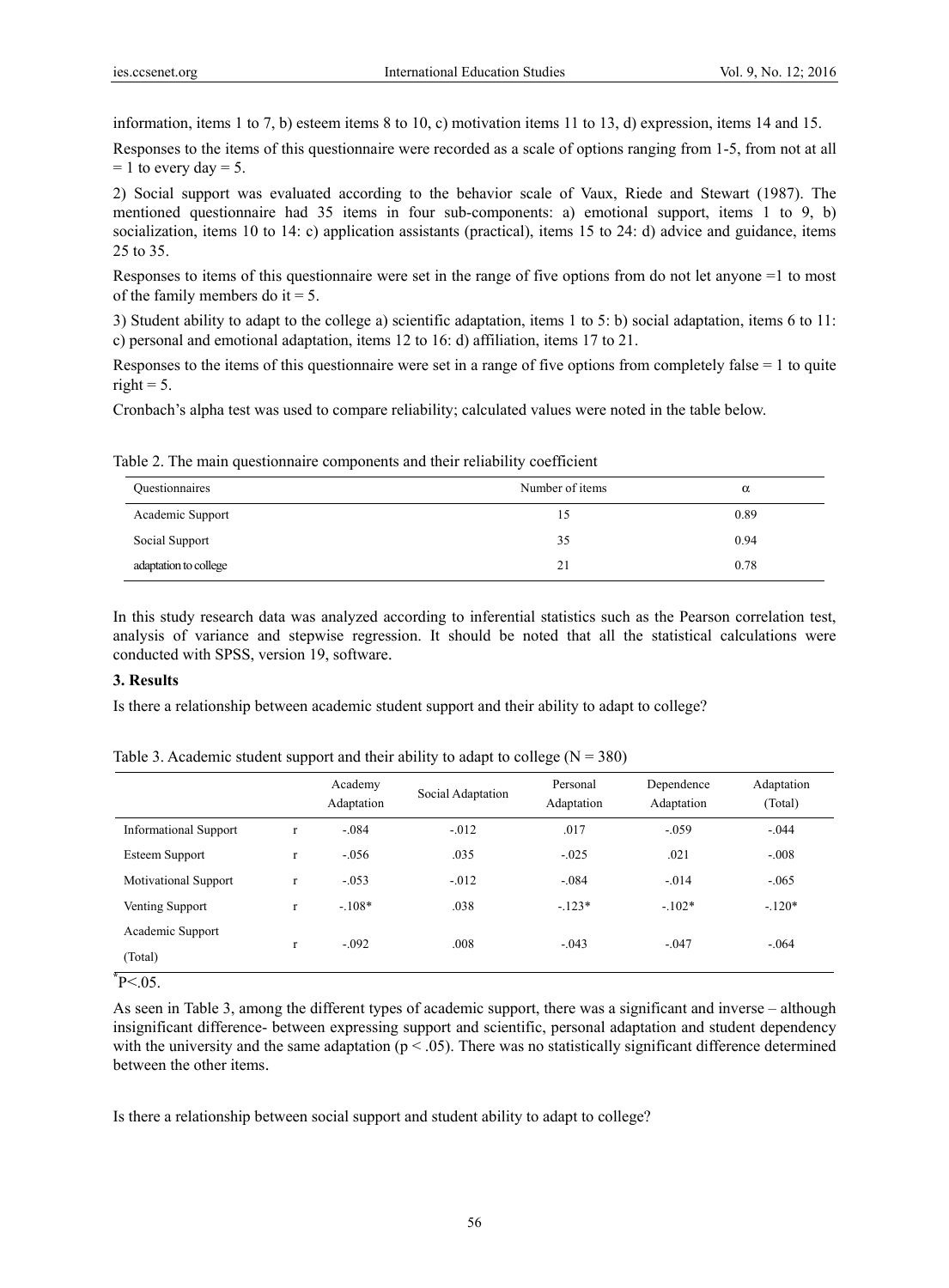information, items 1 to 7, b) esteem items 8 to 10, c) motivation items 11 to 13, d) expression, items 14 and 15.

Responses to the items of this questionnaire were recorded as a scale of options ranging from 1-5, from not at all  $= 1$  to every day  $= 5$ .

2) Social support was evaluated according to the behavior scale of Vaux, Riede and Stewart (1987). The mentioned questionnaire had 35 items in four sub-components: a) emotional support, items 1 to 9, b) socialization, items 10 to 14: c) application assistants (practical), items 15 to 24: d) advice and guidance, items 25 to 35.

Responses to items of this questionnaire were set in the range of five options from do not let anyone =1 to most of the family members do it  $= 5$ .

3) Student ability to adapt to the college a) scientific adaptation, items 1 to 5: b) social adaptation, items 6 to 11: c) personal and emotional adaptation, items 12 to 16: d) affiliation, items 17 to 21.

Responses to the items of this questionnaire were set in a range of five options from completely false  $= 1$  to quite right  $= 5$ .

Cronbach's alpha test was used to compare reliability; calculated values were noted in the table below.

Table 2. The main questionnaire components and their reliability coefficient

| Questionnaires        | Number of items | $\alpha$ |
|-----------------------|-----------------|----------|
| Academic Support      | 15              | 0.89     |
| Social Support        | 35              | 0.94     |
| adaptation to college | 21              | 0.78     |

In this study research data was analyzed according to inferential statistics such as the Pearson correlation test, analysis of variance and stepwise regression. It should be noted that all the statistical calculations were conducted with SPSS, version 19, software.

### **3. Results**

Is there a relationship between academic student support and their ability to adapt to college?

Academy Adaptation Social Adaptation Personal Adaptation Dependence Adaptation Adaptation (Total) Informational Support r  $-0.084$  -.012 .017 -.059 -.044 Esteem Support r -.056 .035 -.025 .021 -.008 Motivational Support r  $-.053$   $-.012$   $-.084$   $-.014$   $-.065$ Venting Support r  $-108*$  .038  $-123*$   $-102*$   $-120*$ Academic Support (Total) r -.092 .008 -.043 -.047 -.064

Table 3. Academic student support and their ability to adapt to college  $(N = 380)$ 

**\*** P<.05.

As seen in Table 3, among the different types of academic support, there was a significant and inverse – although insignificant difference- between expressing support and scientific, personal adaptation and student dependency with the university and the same adaptation ( $p < .05$ ). There was no statistically significant difference determined between the other items.

Is there a relationship between social support and student ability to adapt to college?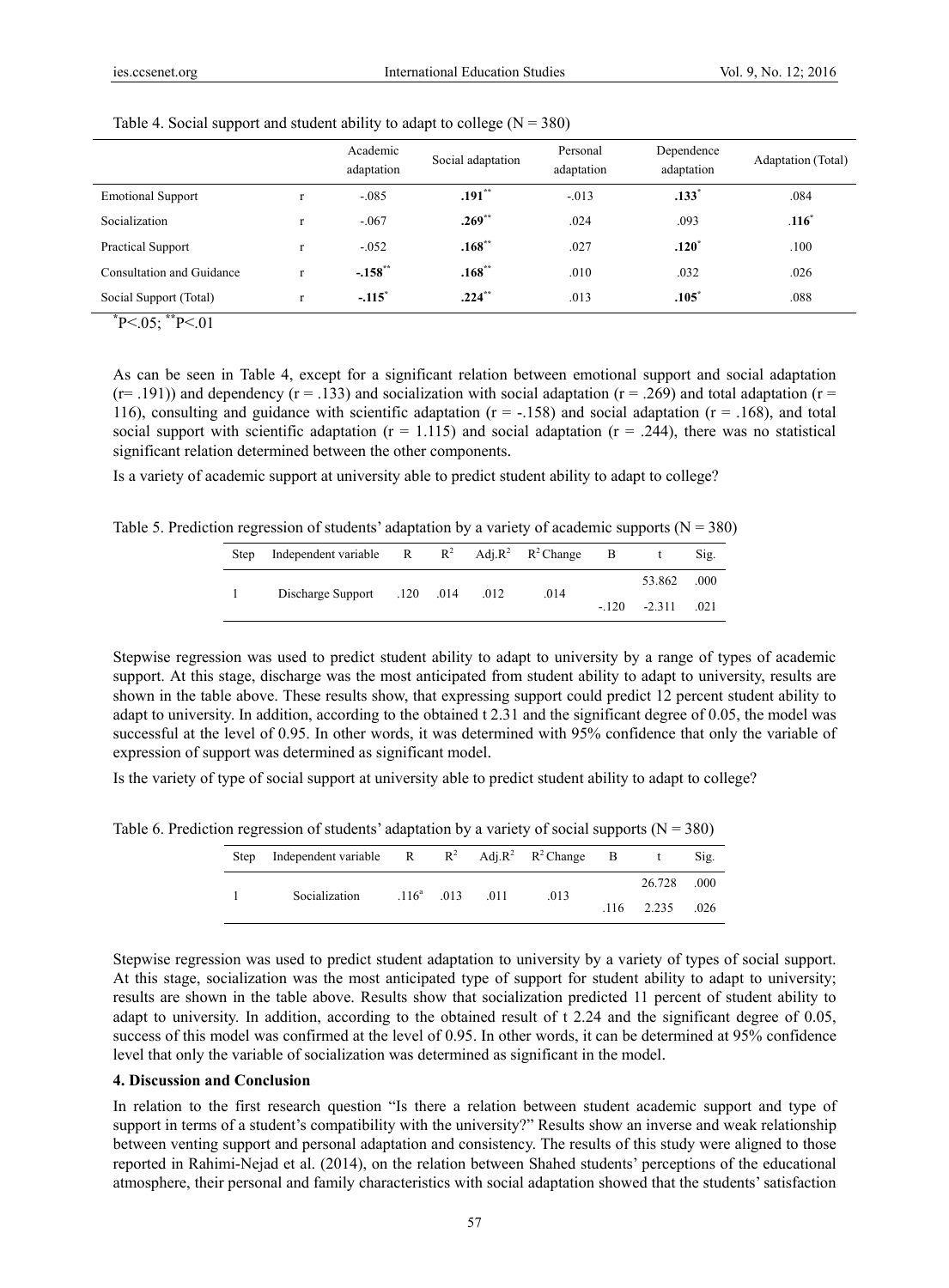|                                                         |              | Academic<br>adaptation | Social adaptation | Personal<br>adaptation | Dependence<br>adaptation | <b>Adaptation</b> (Total) |  |
|---------------------------------------------------------|--------------|------------------------|-------------------|------------------------|--------------------------|---------------------------|--|
| <b>Emotional Support</b>                                | $\mathbf{r}$ | $-.085$                | $.191**$          | $-0.013$               | .133'                    | .084                      |  |
| Socialization                                           | $\mathbf{r}$ | $-.067$                | $.269***$         | .024                   | .093                     | .116                      |  |
| <b>Practical Support</b>                                |              | $-.052$                | $.168***$         | .027                   | $.120*$                  | .100                      |  |
| Consultation and Guidance                               |              | $-.158$ **             | $.168***$         | .010                   | .032                     | .026                      |  |
| Social Support (Total)<br>and the control of<br>about a | r            | $-.115$ <sup>*</sup>   | $.224***$         | .013                   | .105                     | .088                      |  |

Table 4. Social support and student ability to adapt to college  $(N = 380)$ 

**\*** P<.05; **\*\***P<.01

As can be seen in Table 4, except for a significant relation between emotional support and social adaptation  $(r= .191)$ ) and dependency  $(r = .133)$  and socialization with social adaptation  $(r = .269)$  and total adaptation  $(r = .191)$ 116), consulting and guidance with scientific adaptation ( $r = -158$ ) and social adaptation ( $r = 0.168$ ), and total social support with scientific adaptation ( $r = 1.115$ ) and social adaptation ( $r = .244$ ), there was no statistical significant relation determined between the other components.

Is a variety of academic support at university able to predict student ability to adapt to college?

Table 5. Prediction regression of students' adaptation by a variety of academic supports ( $N = 380$ )

| <b>Step</b> | Independent variable $R$ $R^2$ Adj, $R^2$ $R^2$ Change B |  |      |                     | Sig. |
|-------------|----------------------------------------------------------|--|------|---------------------|------|
|             | Discharge Support .120 .014 .012                         |  | .014 | 53.862 .000         |      |
|             |                                                          |  |      | $-120 - 2311 - 021$ |      |

Stepwise regression was used to predict student ability to adapt to university by a range of types of academic support. At this stage, discharge was the most anticipated from student ability to adapt to university, results are shown in the table above. These results show, that expressing support could predict 12 percent student ability to adapt to university. In addition, according to the obtained t 2.31 and the significant degree of 0.05, the model was successful at the level of 0.95. In other words, it was determined with 95% confidence that only the variable of expression of support was determined as significant model.

Is the variety of type of social support at university able to predict student ability to adapt to college?

Table 6. Prediction regression of students' adaptation by a variety of social supports ( $N = 380$ )

| <b>Step</b>   | Independent variable $R$ $R^2$ Adj. $R^2$ $R^2$ Change B |             |      |              |        | Sig. |
|---------------|----------------------------------------------------------|-------------|------|--------------|--------|------|
|               |                                                          |             |      |              | 26.728 | .000 |
| Socialization | $.116^a$ .013                                            | $\cdot$ 011 | .013 | $.116$ 2.235 | .026   |      |

Stepwise regression was used to predict student adaptation to university by a variety of types of social support. At this stage, socialization was the most anticipated type of support for student ability to adapt to university; results are shown in the table above. Results show that socialization predicted 11 percent of student ability to adapt to university. In addition, according to the obtained result of t 2.24 and the significant degree of 0.05, success of this model was confirmed at the level of 0.95. In other words, it can be determined at 95% confidence level that only the variable of socialization was determined as significant in the model.

#### **4. Discussion and Conclusion**

In relation to the first research question "Is there a relation between student academic support and type of support in terms of a student's compatibility with the university?" Results show an inverse and weak relationship between venting support and personal adaptation and consistency. The results of this study were aligned to those reported in Rahimi-Nejad et al. (2014), on the relation between Shahed students' perceptions of the educational atmosphere, their personal and family characteristics with social adaptation showed that the students' satisfaction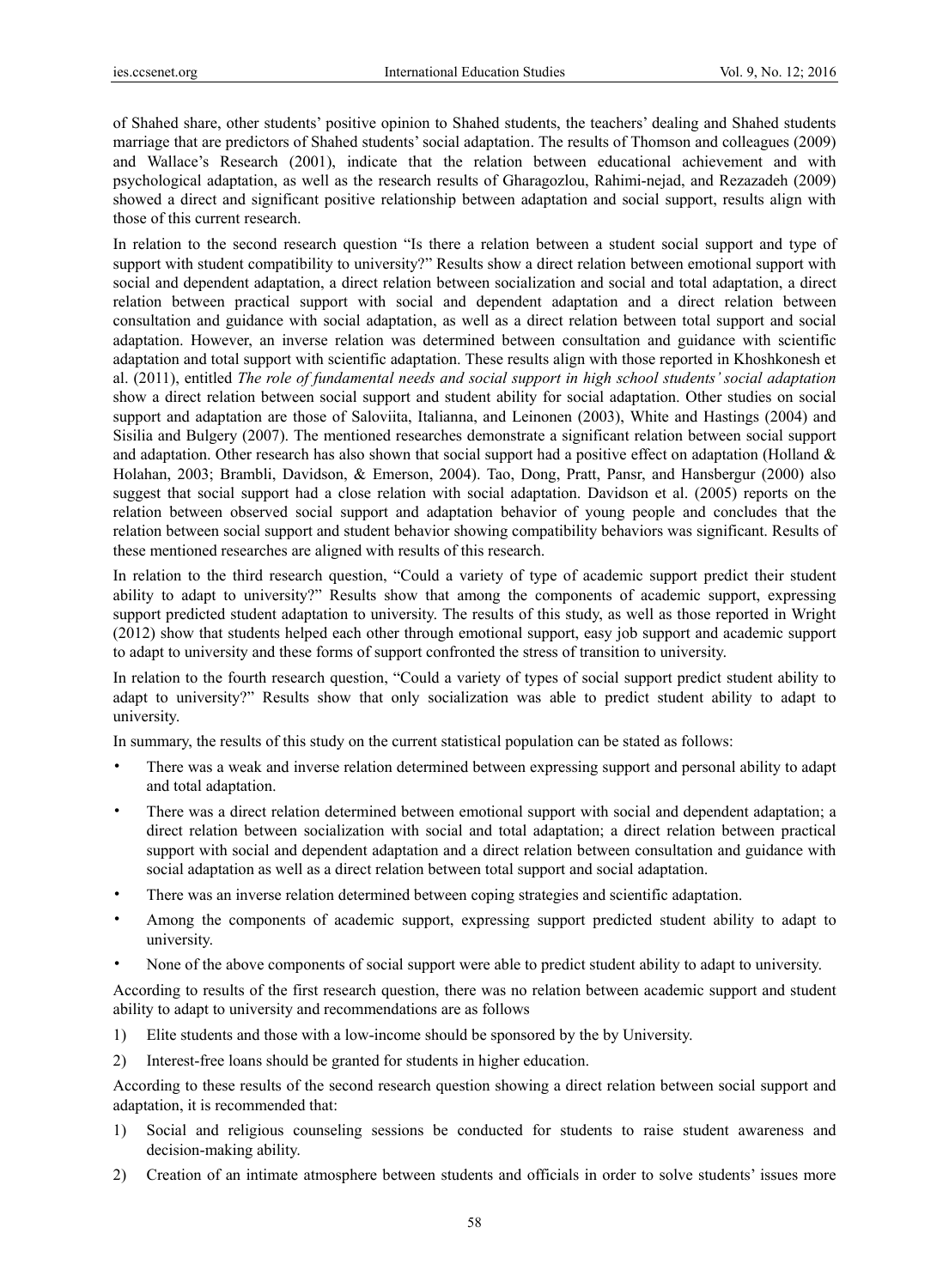of Shahed share, other students' positive opinion to Shahed students, the teachers' dealing and Shahed students marriage that are predictors of Shahed students' social adaptation. The results of Thomson and colleagues (2009) and Wallace's Research (2001), indicate that the relation between educational achievement and with psychological adaptation, as well as the research results of Gharagozlou, Rahimi-nejad, and Rezazadeh (2009) showed a direct and significant positive relationship between adaptation and social support, results align with those of this current research.

In relation to the second research question "Is there a relation between a student social support and type of support with student compatibility to university?" Results show a direct relation between emotional support with social and dependent adaptation, a direct relation between socialization and social and total adaptation, a direct relation between practical support with social and dependent adaptation and a direct relation between consultation and guidance with social adaptation, as well as a direct relation between total support and social adaptation. However, an inverse relation was determined between consultation and guidance with scientific adaptation and total support with scientific adaptation. These results align with those reported in Khoshkonesh et al. (2011), entitled *The role of fundamental needs and social support in high school students' social adaptation* show a direct relation between social support and student ability for social adaptation. Other studies on social support and adaptation are those of Saloviita, Italianna, and Leinonen (2003), White and Hastings (2004) and Sisilia and Bulgery (2007). The mentioned researches demonstrate a significant relation between social support and adaptation. Other research has also shown that social support had a positive effect on adaptation (Holland  $\&$ Holahan, 2003; Brambli, Davidson, & Emerson, 2004). Tao, Dong, Pratt, Pansr, and Hansbergur (2000) also suggest that social support had a close relation with social adaptation. Davidson et al. (2005) reports on the relation between observed social support and adaptation behavior of young people and concludes that the relation between social support and student behavior showing compatibility behaviors was significant. Results of these mentioned researches are aligned with results of this research.

In relation to the third research question, "Could a variety of type of academic support predict their student ability to adapt to university?" Results show that among the components of academic support, expressing support predicted student adaptation to university. The results of this study, as well as those reported in Wright (2012) show that students helped each other through emotional support, easy job support and academic support to adapt to university and these forms of support confronted the stress of transition to university.

In relation to the fourth research question, "Could a variety of types of social support predict student ability to adapt to university?" Results show that only socialization was able to predict student ability to adapt to university.

In summary, the results of this study on the current statistical population can be stated as follows:

- There was a weak and inverse relation determined between expressing support and personal ability to adapt and total adaptation.
- There was a direct relation determined between emotional support with social and dependent adaptation; a direct relation between socialization with social and total adaptation; a direct relation between practical support with social and dependent adaptation and a direct relation between consultation and guidance with social adaptation as well as a direct relation between total support and social adaptation.
- There was an inverse relation determined between coping strategies and scientific adaptation.
- Among the components of academic support, expressing support predicted student ability to adapt to university.
- None of the above components of social support were able to predict student ability to adapt to university.

According to results of the first research question, there was no relation between academic support and student ability to adapt to university and recommendations are as follows

- 1) Elite students and those with a low-income should be sponsored by the by University.
- 2) Interest-free loans should be granted for students in higher education.

According to these results of the second research question showing a direct relation between social support and adaptation, it is recommended that:

- 1) Social and religious counseling sessions be conducted for students to raise student awareness and decision-making ability.
- 2) Creation of an intimate atmosphere between students and officials in order to solve students' issues more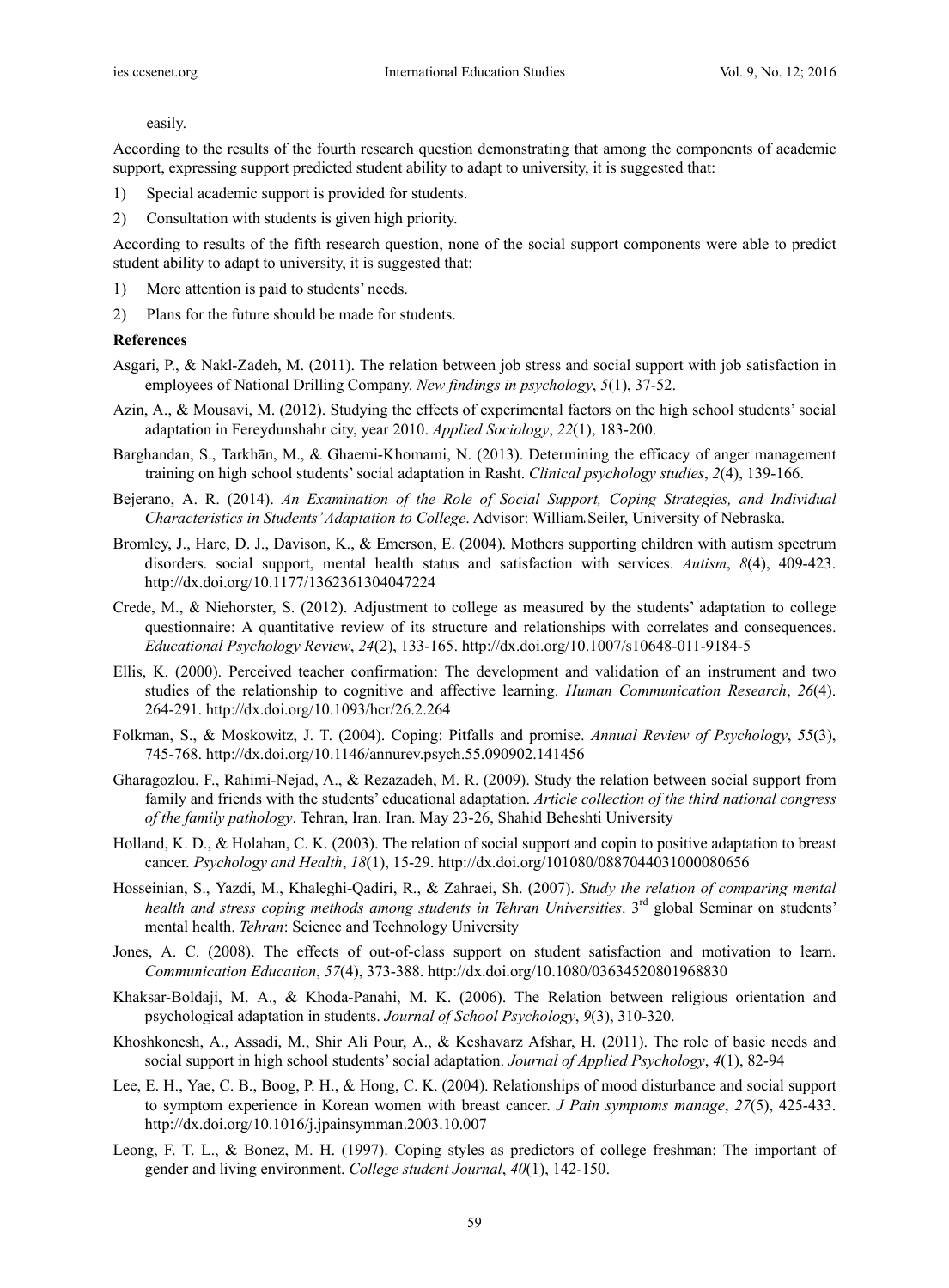#### easily.

According to the results of the fourth research question demonstrating that among the components of academic support, expressing support predicted student ability to adapt to university, it is suggested that:

- 1) Special academic support is provided for students.
- 2) Consultation with students is given high priority.

According to results of the fifth research question, none of the social support components were able to predict student ability to adapt to university, it is suggested that:

- 1) More attention is paid to students' needs.
- 2) Plans for the future should be made for students.

#### **References**

- Asgari, P., & Nakl-Zadeh, M. (2011). The relation between job stress and social support with job satisfaction in employees of National Drilling Company. *New findings in psychology*, *5*(1), 37-52.
- Azin, A., & Mousavi, M. (2012). Studying the effects of experimental factors on the high school students' social adaptation in Fereydunshahr city, year 2010. *Applied Sociology*, *22*(1), 183-200.
- Barghandan, S., Tarkhān, M., & Ghaemi-Khomami, N. (2013). Determining the efficacy of anger management training on high school students' social adaptation in Rasht. *Clinical psychology studies*, *2*(4), 139-166.
- Bejerano, A. R. (2014). *An Examination of the Role of Social Support, Coping Strategies, and Individual Characteristics in Students' Adaptation to College*. Advisor: William**.** Seiler, University of Nebraska.
- Bromley, J., Hare, D. J., Davison, K., & Emerson, E. (2004). Mothers supporting children with autism spectrum disorders. social support, mental health status and satisfaction with services. *Autism*, *8*(4), 409-423. http://dx.doi.org/10.1177/1362361304047224
- Crede, M., & Niehorster, S. (2012). Adjustment to college as measured by the students' adaptation to college questionnaire: A quantitative review of its structure and relationships with correlates and consequences. *Educational Psychology Review*, *24*(2), 133-165. http://dx.doi.org/10.1007/s10648-011-9184-5
- Ellis, K. (2000). Perceived teacher confirmation: The development and validation of an instrument and two studies of the relationship to cognitive and affective learning. *Human Communication Research*, *26*(4). 264-291. http://dx.doi.org/10.1093/hcr/26.2.264
- Folkman, S., & Moskowitz, J. T. (2004). Coping: Pitfalls and promise. *Annual Review of Psychology*, *55*(3), 745-768. http://dx.doi.org/10.1146/annurev.psych.55.090902.141456
- Gharagozlou, F., Rahimi-Nejad, A., & Rezazadeh, M. R. (2009). Study the relation between social support from family and friends with the students' educational adaptation. *Article collection of the third national congress of the family pathology*. Tehran, Iran. Iran. May 23-26, Shahid Beheshti University
- Holland, K. D., & Holahan, C. K. (2003). The relation of social support and copin to positive adaptation to breast cancer. *Psychology and Health*, *18*(1), 15-29. http://dx.doi.org/101080/0887044031000080656
- Hosseinian, S., Yazdi, M., Khaleghi-Qadiri, R., & Zahraei, Sh. (2007). *Study the relation of comparing mental*  health and stress coping methods among students in Tehran Universities. 3<sup>rd</sup> global Seminar on students' mental health. *Tehran*: Science and Technology University
- Jones, A. C. (2008). The effects of out-of-class support on student satisfaction and motivation to learn. *Communication Education*, *57*(4), 373-388. http://dx.doi.org/10.1080/03634520801968830
- Khaksar-Boldaji, M. A., & Khoda-Panahi, M. K. (2006). The Relation between religious orientation and psychological adaptation in students. *Journal of School Psychology*, *9*(3), 310-320.
- Khoshkonesh, A., Assadi, M., Shir Ali Pour, A., & Keshavarz Afshar, H. (2011). The role of basic needs and social support in high school students' social adaptation. *Journal of Applied Psychology*, *4*(1), 82-94
- Lee, E. H., Yae, C. B., Boog, P. H., & Hong, C. K. (2004). Relationships of mood disturbance and social support to symptom experience in Korean women with breast cancer. *J Pain symptoms manage*, *27*(5), 425-433. http://dx.doi.org/10.1016/j.jpainsymman.2003.10.007
- Leong, F. T. L., & Bonez, M. H. (1997). Coping styles as predictors of college freshman: The important of gender and living environment. *College student Journal*, *40*(1), 142-150.